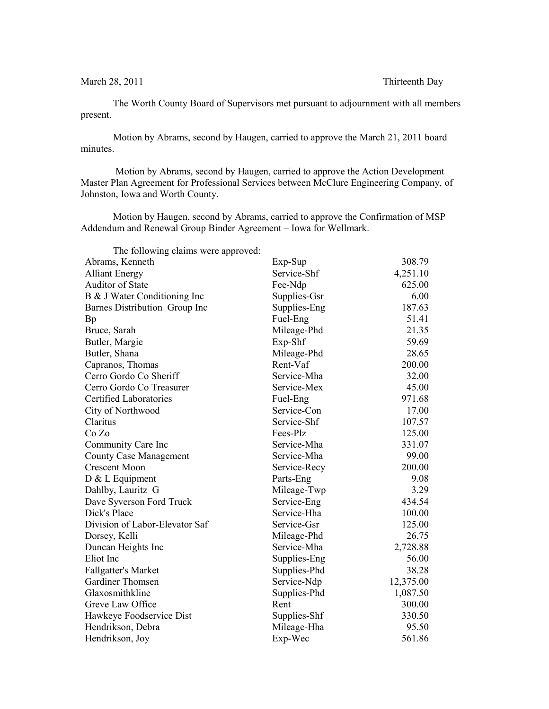March 28, 2011 Thirteenth Day

The Worth County Board of Supervisors met pursuant to adjournment with all members present.

Motion by Abrams, second by Haugen, carried to approve the March 21, 2011 board minutes.

 Motion by Abrams, second by Haugen, carried to approve the Action Development Master Plan Agreement for Professional Services between McClure Engineering Company, of Johnston, Iowa and Worth County.

Motion by Haugen, second by Abrams, carried to approve the Confirmation of MSP Addendum and Renewal Group Binder Agreement – Iowa for Wellmark.

| The following claims were approved: |              |           |
|-------------------------------------|--------------|-----------|
| Abrams, Kenneth                     | Exp-Sup      | 308.79    |
| <b>Alliant Energy</b>               | Service-Shf  | 4,251.10  |
| Auditor of State                    | Fee-Ndp      | 625.00    |
| B & J Water Conditioning Inc        | Supplies-Gsr | 6.00      |
| Barnes Distribution Group Inc       | Supplies-Eng | 187.63    |
| Bp                                  | Fuel-Eng     | 51.41     |
| Bruce, Sarah                        | Mileage-Phd  | 21.35     |
| Butler, Margie                      | Exp-Shf      | 59.69     |
| Butler, Shana                       | Mileage-Phd  | 28.65     |
| Capranos, Thomas                    | Rent-Vaf     | 200.00    |
| Cerro Gordo Co Sheriff              | Service-Mha  | 32.00     |
| Cerro Gordo Co Treasurer            | Service-Mex  | 45.00     |
| <b>Certified Laboratories</b>       | Fuel-Eng     | 971.68    |
| City of Northwood                   | Service-Con  | 17.00     |
| Claritus                            | Service-Shf  | 107.57    |
| Co Zo                               | Fees-Plz     | 125.00    |
| Community Care Inc                  | Service-Mha  | 331.07    |
| <b>County Case Management</b>       | Service-Mha  | 99.00     |
| <b>Crescent Moon</b>                | Service-Recy | 200.00    |
| $D & L$ Equipment                   | Parts-Eng    | 9.08      |
| Dahlby, Lauritz G                   | Mileage-Twp  | 3.29      |
| Dave Syverson Ford Truck            | Service-Eng  | 434.54    |
| Dick's Place                        | Service-Hha  | 100.00    |
| Division of Labor-Elevator Saf      | Service-Gsr  | 125.00    |
| Dorsey, Kelli                       | Mileage-Phd  | 26.75     |
| Duncan Heights Inc                  | Service-Mha  | 2,728.88  |
| Eliot Inc                           | Supplies-Eng | 56.00     |
| <b>Fallgatter's Market</b>          | Supplies-Phd | 38.28     |
| Gardiner Thomsen                    | Service-Ndp  | 12,375.00 |
| Glaxosmithkline                     | Supplies-Phd | 1,087.50  |
| Greve Law Office                    | Rent         | 300.00    |
| Hawkeye Foodservice Dist            | Supplies-Shf | 330.50    |
| Hendrikson, Debra                   | Mileage-Hha  | 95.50     |
| Hendrikson, Joy                     | Exp-Wec      | 561.86    |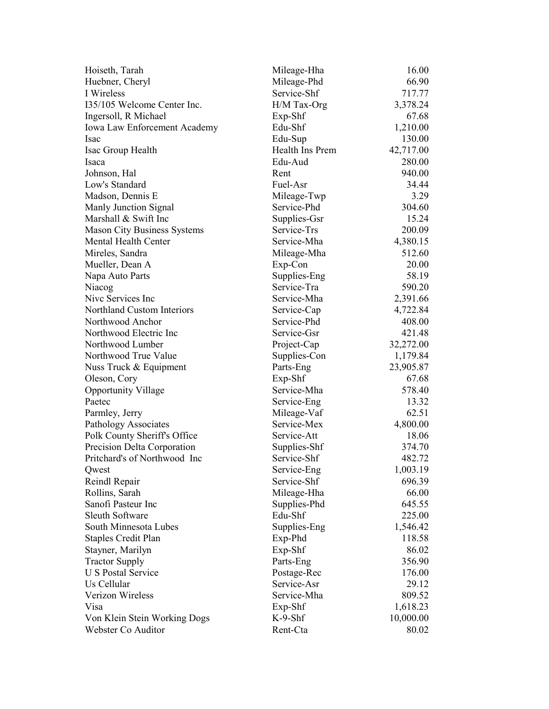| Hoiseth, Tarah                       | Mileage-Hha                | 16.00     |
|--------------------------------------|----------------------------|-----------|
| Huebner, Cheryl                      | Mileage-Phd                | 66.90     |
| I Wireless                           | Service-Shf                | 717.77    |
| 135/105 Welcome Center Inc.          | H/M Tax-Org                | 3,378.24  |
| Ingersoll, R Michael                 | Exp-Shf                    | 67.68     |
| Iowa Law Enforcement Academy         | Edu-Shf                    | 1,210.00  |
| Isac                                 | Edu-Sup                    | 130.00    |
| Isac Group Health                    | Health Ins Prem            | 42,717.00 |
| Isaca                                | Edu-Aud                    | 280.00    |
| Johnson, Hal                         | Rent                       | 940.00    |
| Low's Standard                       | Fuel-Asr                   | 34.44     |
| Madson, Dennis E                     | Mileage-Twp                | 3.29      |
| Manly Junction Signal                | Service-Phd                | 304.60    |
| Marshall & Swift Inc                 | Supplies-Gsr               | 15.24     |
| <b>Mason City Business Systems</b>   | Service-Trs                | 200.09    |
| Mental Health Center                 | Service-Mha                | 4,380.15  |
| Mireles, Sandra                      | Mileage-Mha                | 512.60    |
| Mueller, Dean A                      | Exp-Con                    | 20.00     |
| Napa Auto Parts                      | Supplies-Eng               | 58.19     |
| Niacog                               | Service-Tra                | 590.20    |
| Nive Services Inc                    | Service-Mha                | 2,391.66  |
| <b>Northland Custom Interiors</b>    | Service-Cap                | 4,722.84  |
| Northwood Anchor                     | Service-Phd                | 408.00    |
| Northwood Electric Inc               | Service-Gsr                | 421.48    |
| Northwood Lumber                     | Project-Cap                | 32,272.00 |
| Northwood True Value                 | Supplies-Con               | 1,179.84  |
| Nuss Truck & Equipment               | Parts-Eng                  | 23,905.87 |
| Oleson, Cory                         | $Exp-Shf$                  | 67.68     |
|                                      | Service-Mha                | 578.40    |
| <b>Opportunity Village</b><br>Paetec |                            | 13.32     |
|                                      | Service-Eng                | 62.51     |
| Parmley, Jerry                       | Mileage-Vaf<br>Service-Mex |           |
| Pathology Associates                 |                            | 4,800.00  |
| Polk County Sheriff's Office         | Service-Att                | 18.06     |
| Precision Delta Corporation          | Supplies-Shf               | 374.70    |
| Pritchard's of Northwood Inc         | Service-Shf                | 482.72    |
| Qwest                                | Service-Eng                | 1,003.19  |
| Reindl Repair                        | Service-Shf                | 696.39    |
| Rollins, Sarah                       | Mileage-Hha                | 66.00     |
| Sanofi Pasteur Inc                   | Supplies-Phd               | 645.55    |
| <b>Sleuth Software</b>               | Edu-Shf                    | 225.00    |
| South Minnesota Lubes                | Supplies-Eng               | 1,546.42  |
| <b>Staples Credit Plan</b>           | Exp-Phd                    | 118.58    |
| Stayner, Marilyn                     | Exp-Shf                    | 86.02     |
| <b>Tractor Supply</b>                | Parts-Eng                  | 356.90    |
| <b>U S Postal Service</b>            | Postage-Rec                | 176.00    |
| Us Cellular                          | Service-Asr                | 29.12     |
| Verizon Wireless                     | Service-Mha                | 809.52    |
| Visa                                 | Exp-Shf                    | 1,618.23  |
| Von Klein Stein Working Dogs         | $K-9-Shf$                  | 10,000.00 |
| Webster Co Auditor                   | Rent-Cta                   | 80.02     |